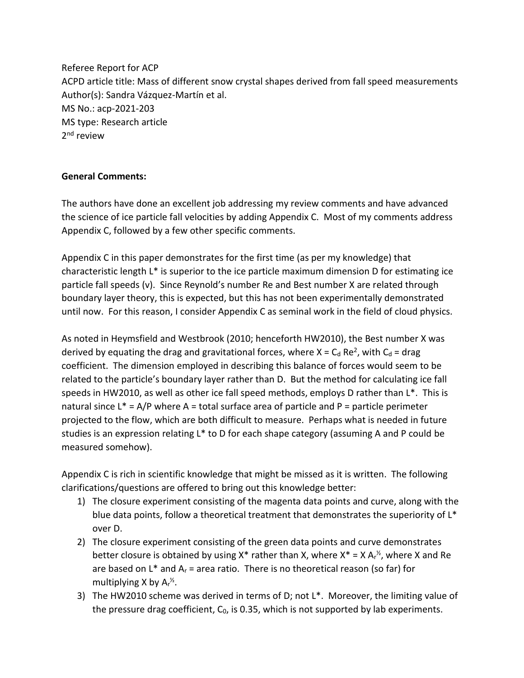Referee Report for ACP ACPD article title: Mass of different snow crystal shapes derived from fall speed measurements Author(s): Sandra Vázquez-Martín et al. MS No.: acp-2021-203 MS type: Research article 2<sup>nd</sup> review

## **General Comments:**

The authors have done an excellent job addressing my review comments and have advanced the science of ice particle fall velocities by adding Appendix C. Most of my comments address Appendix C, followed by a few other specific comments.

Appendix C in this paper demonstrates for the first time (as per my knowledge) that characteristic length L\* is superior to the ice particle maximum dimension D for estimating ice particle fall speeds (v). Since Reynold's number Re and Best number X are related through boundary layer theory, this is expected, but this has not been experimentally demonstrated until now. For this reason, I consider Appendix C as seminal work in the field of cloud physics.

As noted in Heymsfield and Westbrook (2010; henceforth HW2010), the Best number X was derived by equating the drag and gravitational forces, where  $X = C_d$  Re<sup>2</sup>, with  $C_d$  = drag coefficient. The dimension employed in describing this balance of forces would seem to be related to the particle's boundary layer rather than D. But the method for calculating ice fall speeds in HW2010, as well as other ice fall speed methods, employs D rather than L\*. This is natural since  $L^* = A/P$  where A = total surface area of particle and P = particle perimeter projected to the flow, which are both difficult to measure. Perhaps what is needed in future studies is an expression relating L\* to D for each shape category (assuming A and P could be measured somehow).

Appendix C is rich in scientific knowledge that might be missed as it is written. The following clarifications/questions are offered to bring out this knowledge better:

- 1) The closure experiment consisting of the magenta data points and curve, along with the blue data points, follow a theoretical treatment that demonstrates the superiority of  $L^*$ over D.
- 2) The closure experiment consisting of the green data points and curve demonstrates better closure is obtained by using  $X^*$  rather than X, where  $X^* = X A_r^{\frac{1}{2}}$ , where X and Re are based on L\* and  $A_r$  = area ratio. There is no theoretical reason (so far) for multiplying X by  $Ar^{\frac{1}{2}}$ .
- 3) The HW2010 scheme was derived in terms of D; not L\*. Moreover, the limiting value of the pressure drag coefficient,  $C_0$ , is 0.35, which is not supported by lab experiments.